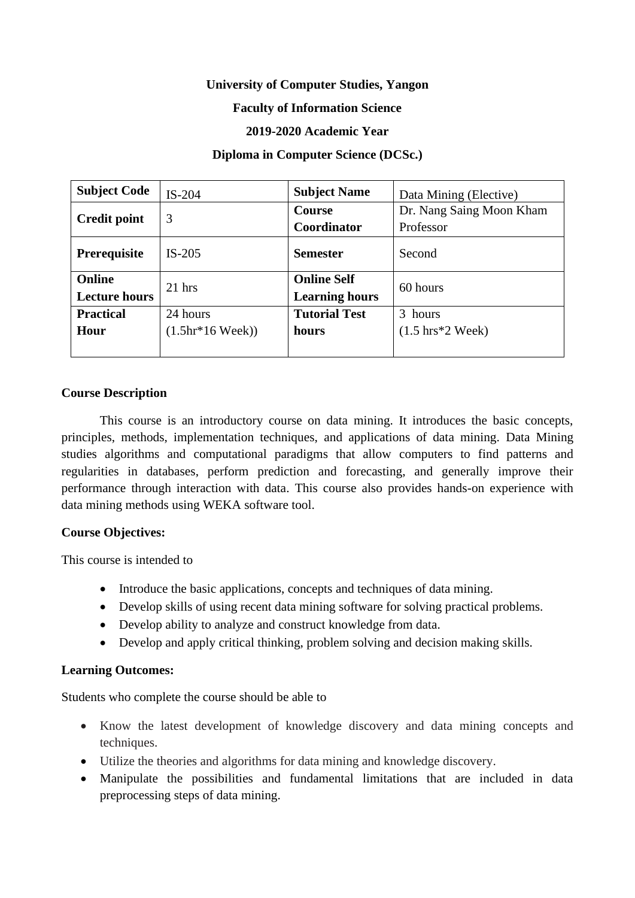# **University of Computer Studies, Yangon**

### **Faculty of Information Science**

### **2019-2020 Academic Year**

### **Diploma in Computer Science (DCSc.)**

| <b>Subject Code</b>  | $IS-204$                  | <b>Subject Name</b>   | Data Mining (Elective)              |  |  |
|----------------------|---------------------------|-----------------------|-------------------------------------|--|--|
|                      | 3                         | Course                | Dr. Nang Saing Moon Kham            |  |  |
| <b>Credit point</b>  |                           | <b>Coordinator</b>    | Professor                           |  |  |
| Prerequisite         | $IS-205$                  | <b>Semester</b>       | Second                              |  |  |
| Online               | $21$ hrs                  | <b>Online Self</b>    | 60 hours                            |  |  |
| <b>Lecture hours</b> |                           | <b>Learning hours</b> |                                     |  |  |
| <b>Practical</b>     | 24 hours                  | <b>Tutorial Test</b>  | 3 hours                             |  |  |
| Hour                 | $(1.5hr*16 \text{ Week})$ | hours                 | $(1.5 \text{ hrs}^*2 \text{ Week})$ |  |  |
|                      |                           |                       |                                     |  |  |

#### **Course Description**

This course is an introductory course on data mining. It introduces the basic concepts, principles, methods, implementation techniques, and applications of data mining. Data Mining studies algorithms and computational paradigms that allow computers to find patterns and regularities in databases, perform prediction and forecasting, and generally improve their performance through interaction with data. This course also provides hands-on experience with data mining methods using WEKA software tool.

#### **Course Objectives:**

This course is intended to

- Introduce the basic applications, concepts and techniques of data mining.
- Develop skills of using recent data mining software for solving practical problems.
- Develop ability to analyze and construct knowledge from data.
- Develop and apply critical thinking, problem solving and decision making skills.

# **Learning Outcomes:**

Students who complete the course should be able to

- Know the latest development of knowledge discovery and data mining concepts and techniques.
- Utilize the theories and algorithms for data mining and knowledge discovery.
- Manipulate the possibilities and fundamental limitations that are included in data preprocessing steps of data mining.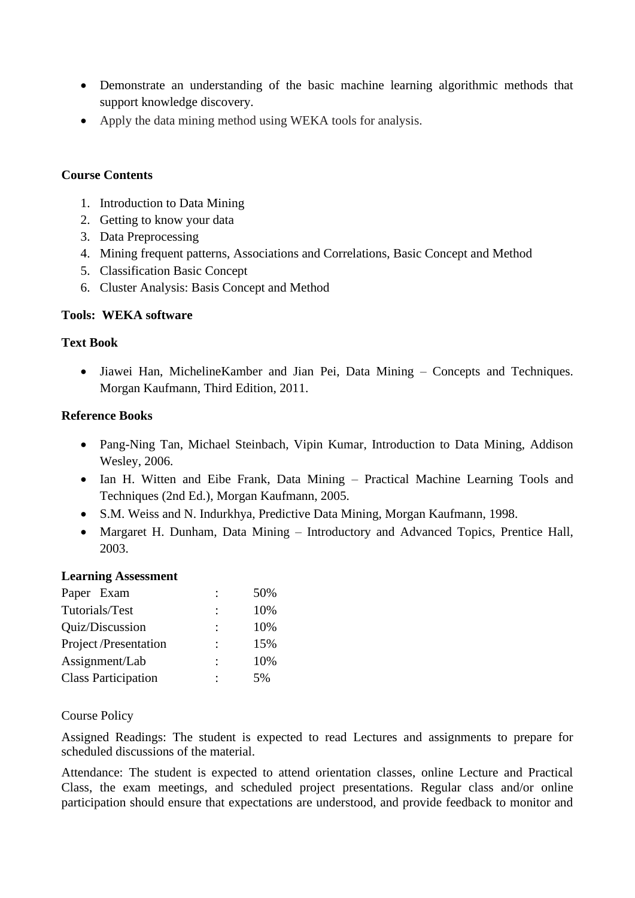- Demonstrate an understanding of the basic machine learning algorithmic methods that support knowledge discovery.
- Apply the data mining method using WEKA tools for analysis.

## **Course Contents**

- 1. Introduction to Data Mining
- 2. Getting to know your data
- 3. Data Preprocessing
- 4. Mining frequent patterns, Associations and Correlations, Basic Concept and Method
- 5. Classification Basic Concept
- 6. Cluster Analysis: Basis Concept and Method

# **Tools: WEKA software**

# **Text Book**

• Jiawei Han, MichelineKamber and Jian Pei, Data Mining – Concepts and Techniques. Morgan Kaufmann, Third Edition, 2011.

### **Reference Books**

- Pang-Ning Tan, Michael Steinbach, Vipin Kumar, Introduction to Data Mining, Addison Wesley, 2006.
- Ian H. Witten and Eibe Frank, Data Mining Practical Machine Learning Tools and Techniques (2nd Ed.), Morgan Kaufmann, 2005.
- S.M. Weiss and N. Indurkhya, Predictive Data Mining, Morgan Kaufmann, 1998.
- Margaret H. Dunham, Data Mining Introductory and Advanced Topics, Prentice Hall, 2003.

#### **Learning Assessment**

| Paper Exam                 |   | 50% |
|----------------------------|---|-----|
| Tutorials/Test             |   | 10% |
| Quiz/Discussion            |   | 10% |
| Project/Presentation       | ٠ | 15% |
| Assignment/Lab             | ٠ | 10% |
| <b>Class Participation</b> |   | 5%  |

# Course Policy

Assigned Readings: The student is expected to read Lectures and assignments to prepare for scheduled discussions of the material.

Attendance: The student is expected to attend orientation classes, online Lecture and Practical Class, the exam meetings, and scheduled project presentations. Regular class and/or online participation should ensure that expectations are understood, and provide feedback to monitor and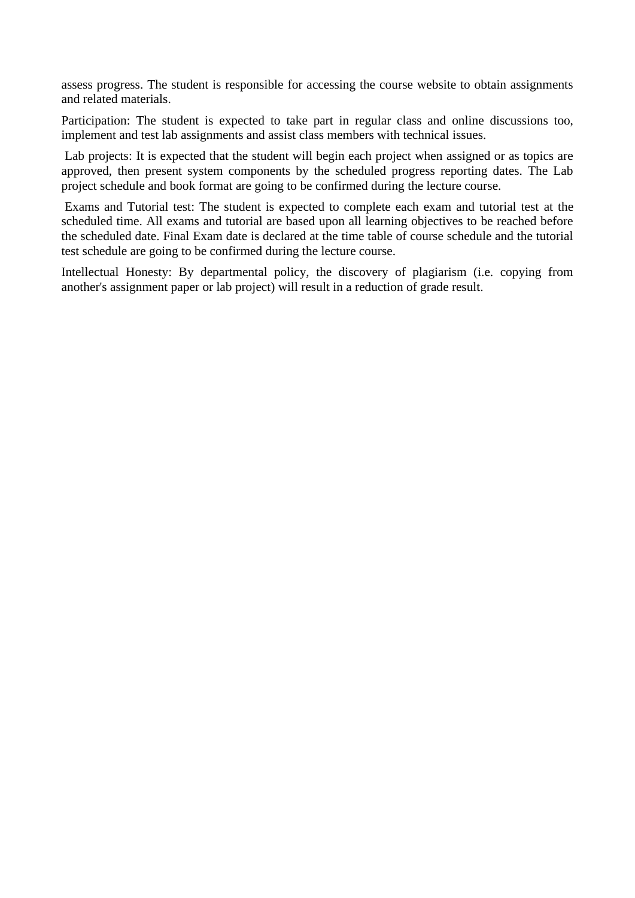assess progress. The student is responsible for accessing the course website to obtain assignments and related materials.

Participation: The student is expected to take part in regular class and online discussions too, implement and test lab assignments and assist class members with technical issues.

Lab projects: It is expected that the student will begin each project when assigned or as topics are approved, then present system components by the scheduled progress reporting dates. The Lab project schedule and book format are going to be confirmed during the lecture course.

Exams and Tutorial test: The student is expected to complete each exam and tutorial test at the scheduled time. All exams and tutorial are based upon all learning objectives to be reached before the scheduled date. Final Exam date is declared at the time table of course schedule and the tutorial test schedule are going to be confirmed during the lecture course.

Intellectual Honesty: By departmental policy, the discovery of plagiarism (i.e. copying from another's assignment paper or lab project) will result in a reduction of grade result.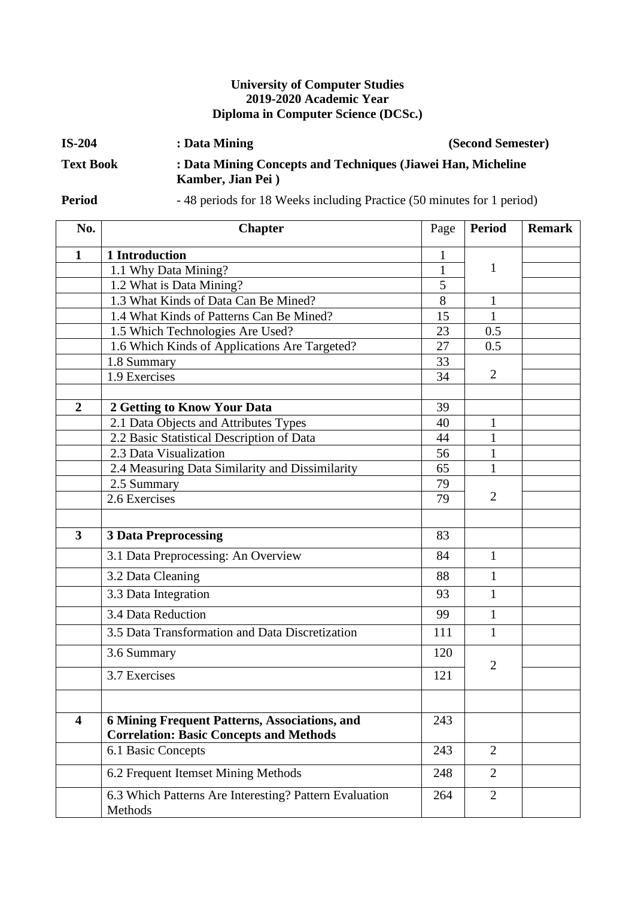# **University of Computer Studies 2019-2020 Academic Year Diploma in Computer Science (DCSc.)**

| $IS-204$         | : Data Mining                                                                     | (Second Semester) |
|------------------|-----------------------------------------------------------------------------------|-------------------|
| <b>Text Book</b> | : Data Mining Concepts and Techniques (Jiawei Han, Micheline<br>Kamber, Jian Pei) |                   |

**Period** - 48 periods for 18 Weeks including Practice (50 minutes for 1 period)

| No.                     | <b>Chapter</b>                                                                                         | Page         | <b>Period</b>  | <b>Remark</b> |
|-------------------------|--------------------------------------------------------------------------------------------------------|--------------|----------------|---------------|
| $\mathbf{1}$            | 1 Introduction                                                                                         | 1            |                |               |
|                         | 1.1 Why Data Mining?                                                                                   | $\mathbf{1}$ | 1              |               |
|                         | 1.2 What is Data Mining?                                                                               | 5            |                |               |
|                         | 1.3 What Kinds of Data Can Be Mined?                                                                   | 8            | $\mathbf{1}$   |               |
|                         | 1.4 What Kinds of Patterns Can Be Mined?                                                               | 15           | $\mathbf{1}$   |               |
|                         | 1.5 Which Technologies Are Used?                                                                       | 23           | 0.5            |               |
|                         | 1.6 Which Kinds of Applications Are Targeted?                                                          | 27           | 0.5            |               |
|                         | 1.8 Summary                                                                                            | 33           |                |               |
|                         | 1.9 Exercises                                                                                          | 34           | $\overline{2}$ |               |
|                         |                                                                                                        |              |                |               |
| $\overline{2}$          | 2 Getting to Know Your Data                                                                            | 39           |                |               |
|                         | 2.1 Data Objects and Attributes Types                                                                  | 40           | $\mathbf 1$    |               |
|                         | 2.2 Basic Statistical Description of Data                                                              | 44           | $\mathbf{1}$   |               |
|                         | 2.3 Data Visualization                                                                                 | 56           | $\mathbf{1}$   |               |
|                         | 2.4 Measuring Data Similarity and Dissimilarity                                                        | 65           | $\mathbf{1}$   |               |
|                         | 2.5 Summary                                                                                            | 79           | $\overline{2}$ |               |
|                         | 2.6 Exercises                                                                                          | 79           |                |               |
|                         |                                                                                                        |              |                |               |
| $\overline{\mathbf{3}}$ | <b>3 Data Preprocessing</b>                                                                            | 83           |                |               |
|                         | 3.1 Data Preprocessing: An Overview                                                                    | 84           | $\mathbf{1}$   |               |
|                         | 3.2 Data Cleaning                                                                                      | 88           | $\mathbf{1}$   |               |
|                         | 3.3 Data Integration                                                                                   | 93           | $\mathbf{1}$   |               |
|                         | 3.4 Data Reduction                                                                                     | 99           | 1              |               |
|                         | 3.5 Data Transformation and Data Discretization                                                        | 111          | $\mathbf{1}$   |               |
|                         | 3.6 Summary                                                                                            | 120          |                |               |
|                         | 3.7 Exercises                                                                                          | 121          | $\overline{2}$ |               |
|                         |                                                                                                        |              |                |               |
| $\overline{\mathbf{4}}$ | <b>6 Mining Frequent Patterns, Associations, and</b><br><b>Correlation: Basic Concepts and Methods</b> | 243          |                |               |
|                         | 6.1 Basic Concepts                                                                                     | 243          | $\overline{2}$ |               |
|                         | 6.2 Frequent Itemset Mining Methods                                                                    | 248          | $\overline{2}$ |               |
|                         | 6.3 Which Patterns Are Interesting? Pattern Evaluation<br>Methods                                      | 264          | $\overline{2}$ |               |